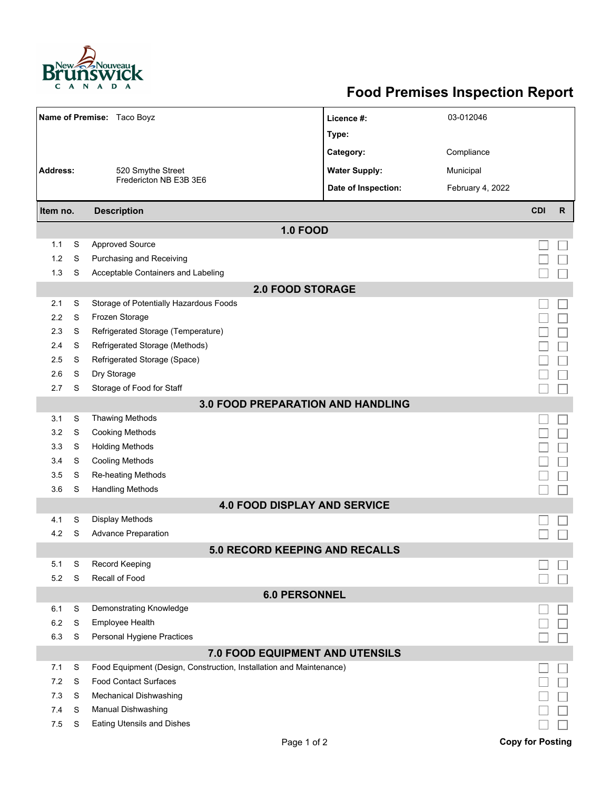

## **Food Premises Inspection Report**

|                                          |   | Name of Premise: Taco Boyz                                          | Licence #:           | 03-012046        |                         |              |  |  |  |  |
|------------------------------------------|---|---------------------------------------------------------------------|----------------------|------------------|-------------------------|--------------|--|--|--|--|
|                                          |   |                                                                     | Type:                |                  |                         |              |  |  |  |  |
|                                          |   |                                                                     | Category:            | Compliance       |                         |              |  |  |  |  |
| <b>Address:</b>                          |   | 520 Smythe Street<br>Fredericton NB E3B 3E6                         | <b>Water Supply:</b> | Municipal        |                         |              |  |  |  |  |
|                                          |   |                                                                     | Date of Inspection:  | February 4, 2022 |                         |              |  |  |  |  |
|                                          |   |                                                                     |                      |                  |                         |              |  |  |  |  |
| Item no.                                 |   | <b>Description</b>                                                  |                      |                  | <b>CDI</b>              | $\mathsf{R}$ |  |  |  |  |
|                                          |   | <b>1.0 FOOD</b>                                                     |                      |                  |                         |              |  |  |  |  |
| 1.1                                      | S | <b>Approved Source</b>                                              |                      |                  |                         |              |  |  |  |  |
| 1.2                                      | S | Purchasing and Receiving                                            |                      |                  |                         |              |  |  |  |  |
| 1.3                                      | S | Acceptable Containers and Labeling                                  |                      |                  |                         |              |  |  |  |  |
| <b>2.0 FOOD STORAGE</b>                  |   |                                                                     |                      |                  |                         |              |  |  |  |  |
| 2.1                                      | S | Storage of Potentially Hazardous Foods                              |                      |                  |                         |              |  |  |  |  |
| 2.2                                      | S | Frozen Storage                                                      |                      |                  |                         |              |  |  |  |  |
| 2.3                                      | S | Refrigerated Storage (Temperature)                                  |                      |                  |                         |              |  |  |  |  |
| 2.4                                      | S | Refrigerated Storage (Methods)                                      |                      |                  |                         |              |  |  |  |  |
| 2.5                                      | S | Refrigerated Storage (Space)                                        |                      |                  |                         |              |  |  |  |  |
| 2.6                                      | S | Dry Storage                                                         |                      |                  |                         |              |  |  |  |  |
| 2.7                                      | S | Storage of Food for Staff                                           |                      |                  |                         |              |  |  |  |  |
| <b>3.0 FOOD PREPARATION AND HANDLING</b> |   |                                                                     |                      |                  |                         |              |  |  |  |  |
| 3.1                                      | S | Thawing Methods                                                     |                      |                  |                         |              |  |  |  |  |
| 3.2                                      | S | <b>Cooking Methods</b>                                              |                      |                  |                         |              |  |  |  |  |
| 3.3                                      | S | <b>Holding Methods</b>                                              |                      |                  |                         |              |  |  |  |  |
| 3.4                                      | S | <b>Cooling Methods</b>                                              |                      |                  |                         |              |  |  |  |  |
| 3.5                                      | S | <b>Re-heating Methods</b>                                           |                      |                  |                         |              |  |  |  |  |
| 3.6                                      | S | <b>Handling Methods</b>                                             |                      |                  |                         |              |  |  |  |  |
|                                          |   | <b>4.0 FOOD DISPLAY AND SERVICE</b>                                 |                      |                  |                         |              |  |  |  |  |
| 4.1                                      | S | Display Methods                                                     |                      |                  |                         |              |  |  |  |  |
| 4.2                                      | S | <b>Advance Preparation</b>                                          |                      |                  |                         |              |  |  |  |  |
|                                          |   | <b>5.0 RECORD KEEPING AND RECALLS</b>                               |                      |                  |                         |              |  |  |  |  |
| 5.1                                      | S | <b>Record Keeping</b>                                               |                      |                  |                         |              |  |  |  |  |
| 5.2                                      | S | Recall of Food                                                      |                      |                  |                         |              |  |  |  |  |
|                                          |   | <b>6.0 PERSONNEL</b>                                                |                      |                  |                         |              |  |  |  |  |
| 6.1                                      | S | Demonstrating Knowledge                                             |                      |                  |                         |              |  |  |  |  |
| 6.2                                      | S | <b>Employee Health</b>                                              |                      |                  |                         |              |  |  |  |  |
| 6.3                                      | S | Personal Hygiene Practices                                          |                      |                  |                         |              |  |  |  |  |
|                                          |   | 7.0 FOOD EQUIPMENT AND UTENSILS                                     |                      |                  |                         |              |  |  |  |  |
| 7.1                                      | S | Food Equipment (Design, Construction, Installation and Maintenance) |                      |                  |                         |              |  |  |  |  |
| 7.2                                      | S | <b>Food Contact Surfaces</b>                                        |                      |                  |                         |              |  |  |  |  |
| 7.3                                      | S | <b>Mechanical Dishwashing</b>                                       |                      |                  |                         |              |  |  |  |  |
| 7.4                                      | S | Manual Dishwashing                                                  |                      |                  |                         |              |  |  |  |  |
| 7.5                                      | S | <b>Eating Utensils and Dishes</b>                                   |                      |                  |                         |              |  |  |  |  |
|                                          |   | Page 1 of 2                                                         |                      |                  | <b>Copy for Posting</b> |              |  |  |  |  |